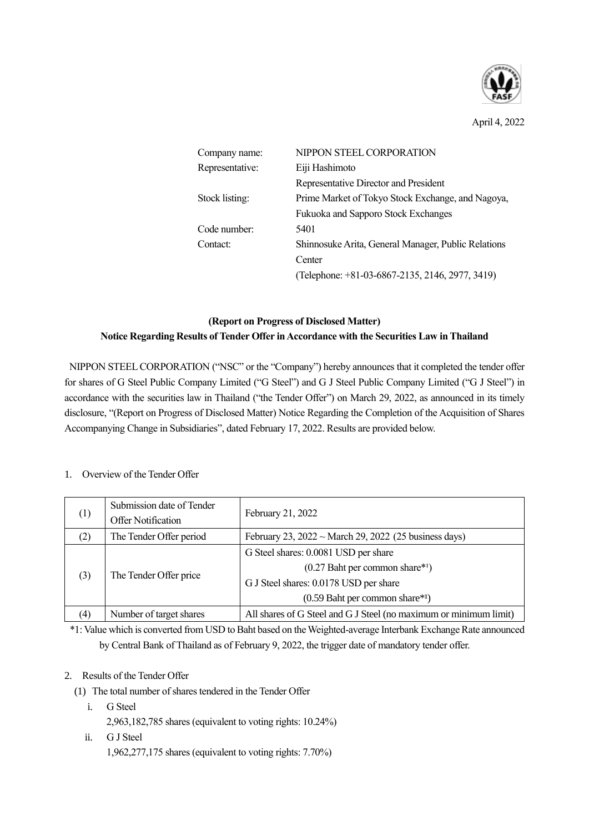

April 4, 2022

| Company name:   | NIPPON STEEL CORPORATION                            |  |
|-----------------|-----------------------------------------------------|--|
| Representative: | Eiji Hashimoto                                      |  |
|                 | Representative Director and President               |  |
| Stock listing:  | Prime Market of Tokyo Stock Exchange, and Nagoya,   |  |
|                 | Fukuoka and Sapporo Stock Exchanges                 |  |
| Code number:    | 5401                                                |  |
| Contact:        | Shinnosuke Arita, General Manager, Public Relations |  |
|                 | Center                                              |  |
|                 | (Telephone: +81-03-6867-2135, 2146, 2977, 3419)     |  |

# **(Report on Progress of Disclosed Matter) Notice Regarding Results of Tender Offer in Accordance with the Securities Law in Thailand**

NIPPON STEEL CORPORATION ("NSC" or the "Company") hereby announces that it completed the tender offer for shares of G Steel Public Company Limited ("G Steel") and G J Steel Public Company Limited ("G J Steel") in accordance with the securities law in Thailand ("the Tender Offer") on March 29, 2022, as announced in its timely disclosure, "(Report on Progress of Disclosed Matter) Notice Regarding the Completion of the Acquisition of Shares Accompanying Change in Subsidiaries", dated February 17, 2022. Results are provided below.

### 1. Overview of the Tender Offer

| (1) | Submission date of Tender<br>Offer Notification | February 21, 2022                                                                                                                                      |  |
|-----|-------------------------------------------------|--------------------------------------------------------------------------------------------------------------------------------------------------------|--|
| (2) | The Tender Offer period                         | February 23, $2022 \sim$ March 29, 2022 (25 business days)                                                                                             |  |
| (3) | The Tender Offer price                          | G Steel shares: 0.0081 USD per share<br>$(0.27$ Baht per common share*1)<br>G J Steel shares: 0.0178 USD per share<br>$(0.59$ Baht per common share*1) |  |
| (4) | Number of target shares                         | All shares of G Steel and G J Steel (no maximum or minimum limit)                                                                                      |  |

\*1: Value which is converted from USD to Baht based on the Weighted-average Interbank Exchange Rate announced by Central Bank of Thailand as of February 9, 2022, the trigger date of mandatory tender offer.

## 2. Results of the Tender Offer

- (1) The total number of shares tendered in the Tender Offer
	- i. G Steel 2,963,182,785 shares (equivalent to voting rights: 10.24%)
	- ii. G J Steel 1,962,277,175 shares (equivalent to voting rights: 7.70%)